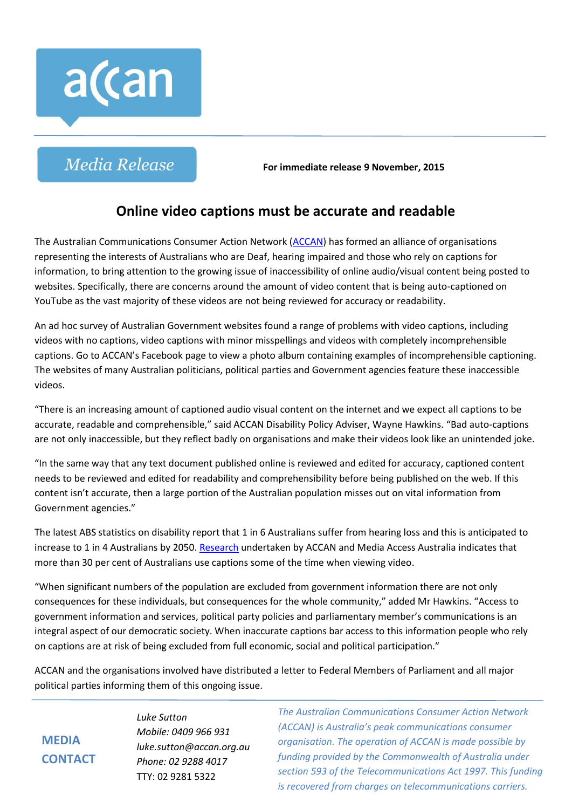

**Media Release** 

**For immediate release 9 November, 2015**

## **Online video captions must be accurate and readable**

The Australian Communications Consumer Action Network [\(ACCAN\)](http://www.accan.org.au/) has formed an alliance of organisations representing the interests of Australians who are Deaf, hearing impaired and those who rely on captions for information, to bring attention to the growing issue of inaccessibility of online audio/visual content being posted to websites. Specifically, there are concerns around the amount of video content that is being auto-captioned on YouTube as the vast majority of these videos are not being reviewed for accuracy or readability.

An ad hoc survey of Australian Government websites found a range of problems with video captions, including videos with no captions, video captions with minor misspellings and videos with completely incomprehensible captions. Go to ACCAN's Facebook page to view a photo album containing examples of incomprehensible captioning. The websites of many Australian politicians, political parties and Government agencies feature these inaccessible videos.

"There is an increasing amount of captioned audio visual content on the internet and we expect all captions to be accurate, readable and comprehensible," said ACCAN Disability Policy Adviser, Wayne Hawkins. "Bad auto-captions are not only inaccessible, but they reflect badly on organisations and make their videos look like an unintended joke.

"In the same way that any text document published online is reviewed and edited for accuracy, captioned content needs to be reviewed and edited for readability and comprehensibility before being published on the web. If this content isn't accurate, then a large portion of the Australian population misses out on vital information from Government agencies."

The latest ABS statistics on disability report that 1 in 6 Australians suffer from hearing loss and this is anticipated to increase to 1 in 4 Australians by 2050[. Research](https://accan.org.au/our-work/research/298-research-on-caption-awareness) undertaken by ACCAN and Media Access Australia indicates that more than 30 per cent of Australians use captions some of the time when viewing video.

"When significant numbers of the population are excluded from government information there are not only consequences for these individuals, but consequences for the whole community," added Mr Hawkins. "Access to government information and services, political party policies and parliamentary member's communications is an integral aspect of our democratic society. When inaccurate captions bar access to this information people who rely on captions are at risk of being excluded from full economic, social and political participation."

ACCAN and the organisations involved have distributed a letter to Federal Members of Parliament and all major political parties informing them of this ongoing issue.

**MEDIA CONTACT** *Luke Sutton Mobile: 0409 966 931 luke.sutton@accan.org.au Phone: 02 9288 4017* TTY: 02 9281 5322

*The Australian Communications Consumer Action Network (ACCAN) is Australia's peak communications consumer organisation. The operation of ACCAN is made possible by funding provided by the Commonwealth of Australia under section 593 of the Telecommunications Act 1997. This funding is recovered from charges on telecommunications carriers.*